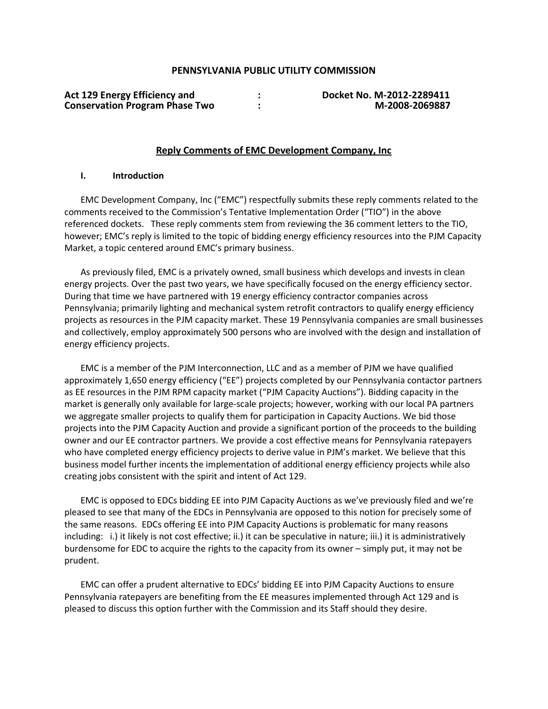### **PENNSYLVANIA PUBLIC UTILITY COMMISSION**

| <b>Act 129 Energy Efficiency and</b>  |  |
|---------------------------------------|--|
| <b>Conservation Program Phase Two</b> |  |

**Act 129 Energy Efficiency and : Docket No. M-2012-2289411 Conservation Program Phase Two : M-2008-2069887**

#### **Reply Comments of EMC Development Company, Inc**

#### **I. Introduction**

EMC Development Company, Inc ("EMC") respectfully submits these reply comments related to the comments received to the Commission's Tentative Implementation Order ("TIO") in the above referenced dockets. These reply comments stem from reviewing the 36 comment letters to the TIO, however; EMC's reply is limited to the topic of bidding energy efficiency resources into the PJM Capacity Market, a topic centered around EMC's primary business.

As previously filed, EMC is a privately owned, small business which develops and invests in clean energy projects. Over the past two years, we have specifically focused on the energy efficiency sector. During that time we have partnered with 19 energy efficiency contractor companies across Pennsylvania; primarily lighting and mechanical system retrofit contractors to qualify energy efficiency projects as resources in the PJM capacity market. These 19 Pennsylvania companies are small businesses and collectively, employ approximately 500 persons who are involved with the design and installation of energy efficiency projects.

EMC is a member of the PJM Interconnection, LLC and as a member of PJM we have qualified approximately 1,650 energy efficiency ("EE") projects completed by our Pennsylvania contactor partners as EE resources in the PJM RPM capacity market ("PJM Capacity Auctions"). Bidding capacity in the market is generally only available for large-scale projects; however, working with our local PA partners we aggregate smaller projects to qualify them for participation in Capacity Auctions. We bid those projects into the PJM Capacity Auction and provide a significant portion of the proceeds to the building owner and our EE contractor partners. We provide a cost effective means for Pennsylvania ratepayers who have completed energy efficiency projects to derive value in PJM's market. We believe that this business model further incents the implementation of additional energy efficiency projects while also creating jobs consistent with the spirit and intent of Act 129.

EMC is opposed to EDCs bidding EE into PJM Capacity Auctions as we've previously filed and we're pleased to see that many of the EDCs in Pennsylvania are opposed to this notion for precisely some of the same reasons. EDCs offering EE into PJM Capacity Auctions is problematic for many reasons including: i.) it likely is not cost effective; ii.) it can be speculative in nature; iii.) it is administratively burdensome for EDC to acquire the rights to the capacity from its owner – simply put, it may not be prudent.

EMC can offer a prudent alternative to EDCs' bidding EE into PJM Capacity Auctions to ensure Pennsylvania ratepayers are benefiting from the EE measures implemented through Act 129 and is pleased to discuss this option further with the Commission and its Staff should they desire.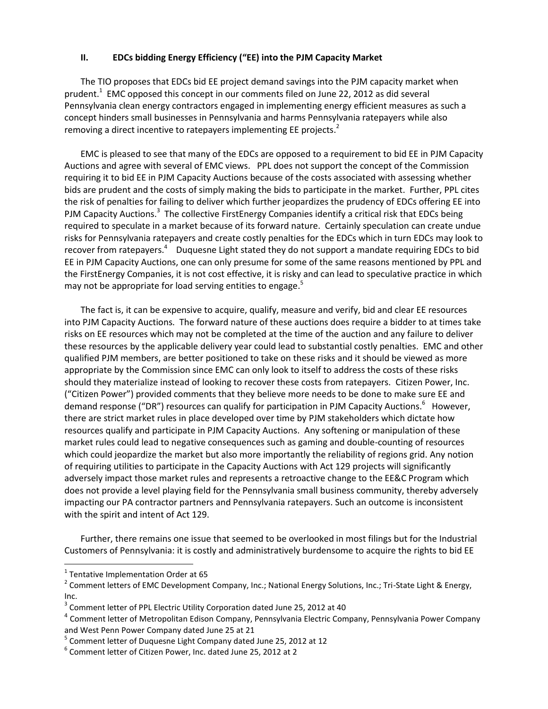### **II. EDCs bidding Energy Efficiency ("EE) into the PJM Capacity Market**

The TIO proposes that EDCs bid EE project demand savings into the PJM capacity market when prudent.<sup>1</sup> EMC opposed this concept in our comments filed on June 22, 2012 as did several Pennsylvania clean energy contractors engaged in implementing energy efficient measures as such a concept hinders small businesses in Pennsylvania and harms Pennsylvania ratepayers while also removing a direct incentive to ratepayers implementing EE projects.<sup>2</sup>

EMC is pleased to see that many of the EDCs are opposed to a requirement to bid EE in PJM Capacity Auctions and agree with several of EMC views. PPL does not support the concept of the Commission requiring it to bid EE in PJM Capacity Auctions because of the costs associated with assessing whether bids are prudent and the costs of simply making the bids to participate in the market. Further, PPL cites the risk of penalties for failing to deliver which further jeopardizes the prudency of EDCs offering EE into PJM Capacity Auctions.<sup>3</sup> The collective FirstEnergy Companies identify a critical risk that EDCs being required to speculate in a market because of its forward nature. Certainly speculation can create undue risks for Pennsylvania ratepayers and create costly penalties for the EDCs which in turn EDCs may look to recover from ratepayers.<sup>4</sup> Duquesne Light stated they do not support a mandate requiring EDCs to bid EE in PJM Capacity Auctions, one can only presume for some of the same reasons mentioned by PPL and the FirstEnergy Companies, it is not cost effective, it is risky and can lead to speculative practice in which may not be appropriate for load serving entities to engage.<sup>5</sup>

The fact is, it can be expensive to acquire, qualify, measure and verify, bid and clear EE resources into PJM Capacity Auctions. The forward nature of these auctions does require a bidder to at times take risks on EE resources which may not be completed at the time of the auction and any failure to deliver these resources by the applicable delivery year could lead to substantial costly penalties. EMC and other qualified PJM members, are better positioned to take on these risks and it should be viewed as more appropriate by the Commission since EMC can only look to itself to address the costs of these risks should they materialize instead of looking to recover these costs from ratepayers. Citizen Power, Inc. ("Citizen Power") provided comments that they believe more needs to be done to make sure EE and demand response ("DR") resources can qualify for participation in PJM Capacity Auctions.<sup>6</sup> However, there are strict market rules in place developed over time by PJM stakeholders which dictate how resources qualify and participate in PJM Capacity Auctions. Any softening or manipulation of these market rules could lead to negative consequences such as gaming and double-counting of resources which could jeopardize the market but also more importantly the reliability of regions grid. Any notion of requiring utilities to participate in the Capacity Auctions with Act 129 projects will significantly adversely impact those market rules and represents a retroactive change to the EE&C Program which does not provide a level playing field for the Pennsylvania small business community, thereby adversely impacting our PA contractor partners and Pennsylvania ratepayers. Such an outcome is inconsistent with the spirit and intent of Act 129.

Further, there remains one issue that seemed to be overlooked in most filings but for the Industrial Customers of Pennsylvania: it is costly and administratively burdensome to acquire the rights to bid EE

 $\overline{a}$ 

 $<sup>1</sup>$  Tentative Implementation Order at 65</sup>

<sup>&</sup>lt;sup>2</sup> Comment letters of EMC Development Company, Inc.; National Energy Solutions, Inc.; Tri-State Light & Energy, Inc.

 $3$  Comment letter of PPL Electric Utility Corporation dated June 25, 2012 at 40

<sup>&</sup>lt;sup>4</sup> Comment letter of Metropolitan Edison Company, Pennsylvania Electric Company, Pennsylvania Power Company and West Penn Power Company dated June 25 at 21

<sup>&</sup>lt;sup>5</sup> Comment letter of Duquesne Light Company dated June 25, 2012 at 12

<sup>6</sup> Comment letter of Citizen Power, Inc. dated June 25, 2012 at 2